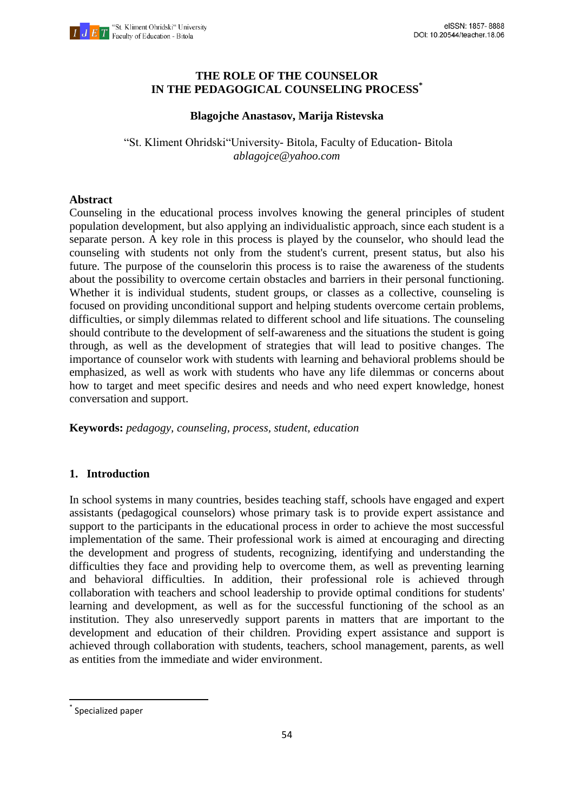

## **THE ROLE OF THE COUNSELOR IN THE PEDAGOGICAL COUNSELING PROCESS\***

## **Blagojche Anastasov, Marija Ristevska**

"St. Kliment Ohridski"University- Bitola, Faculty of Education- Bitola *ablagojce@yahoo.com*

### **Abstract**

Counseling in the educational process involves knowing the general principles of student population development, but also applying an individualistic approach, since each student is a separate person. A key role in this process is played by the counselor, who should lead the counseling with students not only from the student's current, present status, but also his future. The purpose of the counselorin this process is to raise the awareness of the students about the possibility to overcome certain obstacles and barriers in their personal functioning. Whether it is individual students, student groups, or classes as a collective, counseling is focused on providing unconditional support and helping students overcome certain problems, difficulties, or simply dilemmas related to different school and life situations. The counseling should contribute to the development of self-awareness and the situations the student is going through, as well as the development of strategies that will lead to positive changes. The importance of counselor work with students with learning and behavioral problems should be emphasized, as well as work with students who have any life dilemmas or concerns about how to target and meet specific desires and needs and who need expert knowledge, honest conversation and support.

**Keywords:** *pedagogy, counseling, process, student, education*

# **1. Introduction**

In school systems in many countries, besides teaching staff, schools have engaged and expert assistants (pedagogical counselors) whose primary task is to provide expert assistance and support to the participants in the educational process in order to achieve the most successful implementation of the same. Their professional work is aimed at encouraging and directing the development and progress of students, recognizing, identifying and understanding the difficulties they face and providing help to overcome them, as well as preventing learning and behavioral difficulties. In addition, their professional role is achieved through collaboration with teachers and school leadership to provide optimal conditions for students' learning and development, as well as for the successful functioning of the school as an institution. They also unreservedly support parents in matters that are important to the development and education of their children. Providing expert assistance and support is achieved through collaboration with students, teachers, school management, parents, as well as entities from the immediate and wider environment.

1

<sup>\*</sup> Specialized paper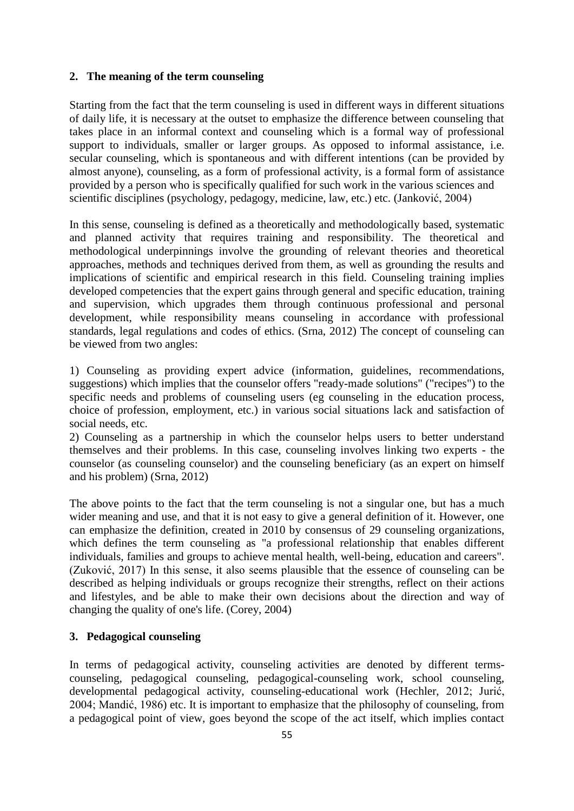### **2. The meaning of the term counseling**

Starting from the fact that the term counseling is used in different ways in different situations of daily life, it is necessary at the outset to emphasize the difference between counseling that takes place in an informal context and counseling which is a formal way of professional support to individuals, smaller or larger groups. As opposed to informal assistance, i.e. secular counseling, which is spontaneous and with different intentions (can be provided by almost anyone), counseling, as a form of professional activity, is a formal form of assistance provided by a person who is specifically qualified for such work in the various sciences and scientific disciplines (psychology, pedagogy, medicine, law, etc.) etc. (Janković, 2004)

In this sense, counseling is defined as a theoretically and methodologically based, systematic and planned activity that requires training and responsibility. The theoretical and methodological underpinnings involve the grounding of relevant theories and theoretical approaches, methods and techniques derived from them, as well as grounding the results and implications of scientific and empirical research in this field. Counseling training implies developed competencies that the expert gains through general and specific education, training and supervision, which upgrades them through continuous professional and personal development, while responsibility means counseling in accordance with professional standards, legal regulations and codes of ethics. (Srna, 2012) The concept of counseling can be viewed from two angles:

1) Counseling as providing expert advice (information, guidelines, recommendations, suggestions) which implies that the counselor offers "ready-made solutions" ("recipes") to the specific needs and problems of counseling users (eg counseling in the education process, choice of profession, employment, etc.) in various social situations lack and satisfaction of social needs, etc.

2) Counseling as a partnership in which the counselor helps users to better understand themselves and their problems. In this case, counseling involves linking two experts - the counselor (as counseling counselor) and the counseling beneficiary (as an expert on himself and his problem) (Srna, 2012)

The above points to the fact that the term counseling is not a singular one, but has a much wider meaning and use, and that it is not easy to give a general definition of it. However, one can emphasize the definition, created in 2010 by consensus of 29 counseling organizations, which defines the term counseling as "a professional relationship that enables different individuals, families and groups to achieve mental health, well-being, education and careers". (Zuković, 2017) In this sense, it also seems plausible that the essence of counseling can be described as helping individuals or groups recognize their strengths, reflect on their actions and lifestyles, and be able to make their own decisions about the direction and way of changing the quality of one's life. (Corey, 2004)

# **3. Pedagogical counseling**

In terms of pedagogical activity, counseling activities are denoted by different termscounseling, pedagogical counseling, pedagogical-counseling work, school counseling, developmental pedagogical activity, counseling-educational work (Hechler, 2012; Jurić, 2004; Mandić, 1986) etc. It is important to emphasize that the philosophy of counseling, from a pedagogical point of view, goes beyond the scope of the act itself, which implies contact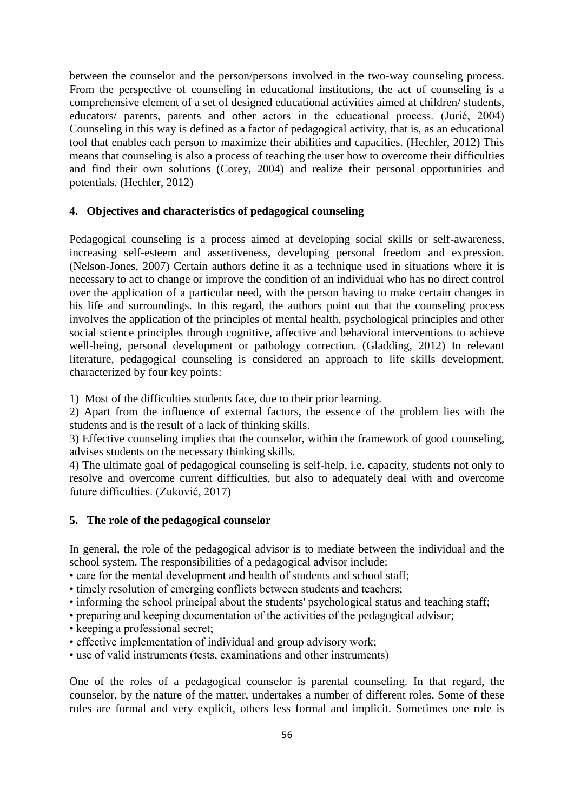between the counselor and the person/persons involved in the two-way counseling process. From the perspective of counseling in educational institutions, the act of counseling is a comprehensive element of a set of designed educational activities aimed at children/ students, educators/ parents, parents and other actors in the educational process. (Jurić, 2004) Counseling in this way is defined as a factor of pedagogical activity, that is, as an educational tool that enables each person to maximize their abilities and capacities. (Hechler, 2012) This means that counseling is also a process of teaching the user how to overcome their difficulties and find their own solutions (Corey, 2004) and realize their personal opportunities and potentials. (Hechler, 2012)

#### **4. Objectives and characteristics of pedagogical counseling**

Pedagogical counseling is a process aimed at developing social skills or self-awareness, increasing self-esteem and assertiveness, developing personal freedom and expression. (Nelson-Jones, 2007) Certain authors define it as a technique used in situations where it is necessary to act to change or improve the condition of an individual who has no direct control over the application of a particular need, with the person having to make certain changes in his life and surroundings. In this regard, the authors point out that the counseling process involves the application of the principles of mental health, psychological principles and other social science principles through cognitive, affective and behavioral interventions to achieve well-being, personal development or pathology correction. (Gladding, 2012) In relevant literature, pedagogical counseling is considered an approach to life skills development, characterized by four key points:

1) Most of the difficulties students face, due to their prior learning.

2) Apart from the influence of external factors, the essence of the problem lies with the students and is the result of a lack of thinking skills.

3) Effective counseling implies that the counselor, within the framework of good counseling, advises students on the necessary thinking skills.

4) The ultimate goal of pedagogical counseling is self-help, i.e. capacity, students not only to resolve and overcome current difficulties, but also to adequately deal with and overcome future difficulties. (Zuković, 2017)

#### **5. The role of the pedagogical counselor**

In general, the role of the pedagogical advisor is to mediate between the individual and the school system. The responsibilities of a pedagogical advisor include:

• care for the mental development and health of students and school staff;

- timely resolution of emerging conflicts between students and teachers;
- informing the school principal about the students' psychological status and teaching staff;
- preparing and keeping documentation of the activities of the pedagogical advisor;
- keeping a professional secret;
- effective implementation of individual and group advisory work;
- use of valid instruments (tests, examinations and other instruments)

One of the roles of a pedagogical counselor is parental counseling. In that regard, the counselor, by the nature of the matter, undertakes a number of different roles. Some of these roles are formal and very explicit, others less formal and implicit. Sometimes one role is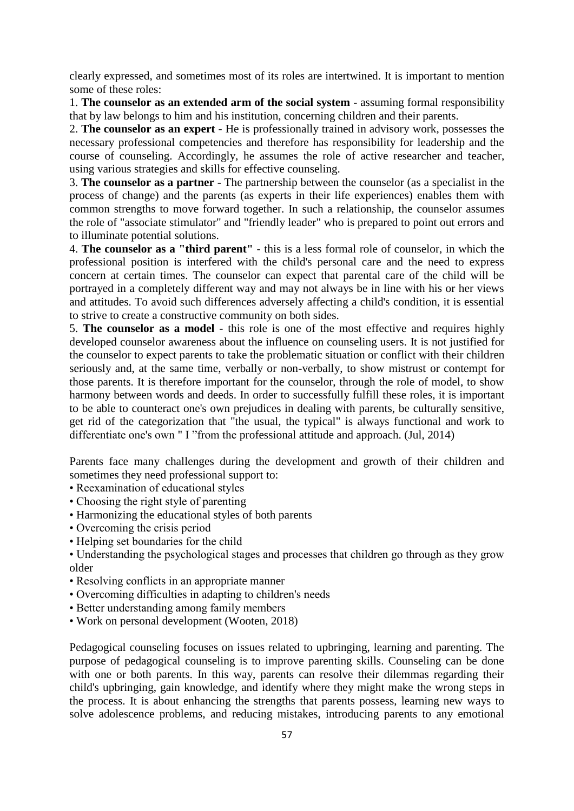clearly expressed, and sometimes most of its roles are intertwined. It is important to mention some of these roles:

1. **The counselor as an extended arm of the social system** - assuming formal responsibility that by law belongs to him and his institution, concerning children and their parents.

2. **The counselor as an expert** - He is professionally trained in advisory work, possesses the necessary professional competencies and therefore has responsibility for leadership and the course of counseling. Accordingly, he assumes the role of active researcher and teacher, using various strategies and skills for effective counseling.

3. **The counselor as a partner** - The partnership between the counselor (as a specialist in the process of change) and the parents (as experts in their life experiences) enables them with common strengths to move forward together. In such a relationship, the counselor assumes the role of "associate stimulator" and "friendly leader" who is prepared to point out errors and to illuminate potential solutions.

4. **The counselor as a "third parent"** - this is a less formal role of counselor, in which the professional position is interfered with the child's personal care and the need to express concern at certain times. The counselor can expect that parental care of the child will be portrayed in a completely different way and may not always be in line with his or her views and attitudes. To avoid such differences adversely affecting a child's condition, it is essential to strive to create a constructive community on both sides.

5. **The counselor as a model** - this role is one of the most effective and requires highly developed counselor awareness about the influence on counseling users. It is not justified for the counselor to expect parents to take the problematic situation or conflict with their children seriously and, at the same time, verbally or non-verbally, to show mistrust or contempt for those parents. It is therefore important for the counselor, through the role of model, to show harmony between words and deeds. In order to successfully fulfill these roles, it is important to be able to counteract one's own prejudices in dealing with parents, be culturally sensitive, get rid of the categorization that "the usual, the typical" is always functional and work to differentiate one's own " I "from the professional attitude and approach. (Jul, 2014)

Parents face many challenges during the development and growth of their children and sometimes they need professional support to:

- Reexamination of educational styles
- Choosing the right style of parenting
- Harmonizing the educational styles of both parents
- Overcoming the crisis period
- Helping set boundaries for the child

• Understanding the psychological stages and processes that children go through as they grow older

- Resolving conflicts in an appropriate manner
- Overcoming difficulties in adapting to children's needs
- Better understanding among family members
- Work on personal development (Wooten, 2018)

Pedagogical counseling focuses on issues related to upbringing, learning and parenting. The purpose of pedagogical counseling is to improve parenting skills. Counseling can be done with one or both parents. In this way, parents can resolve their dilemmas regarding their child's upbringing, gain knowledge, and identify where they might make the wrong steps in the process. It is about enhancing the strengths that parents possess, learning new ways to solve adolescence problems, and reducing mistakes, introducing parents to any emotional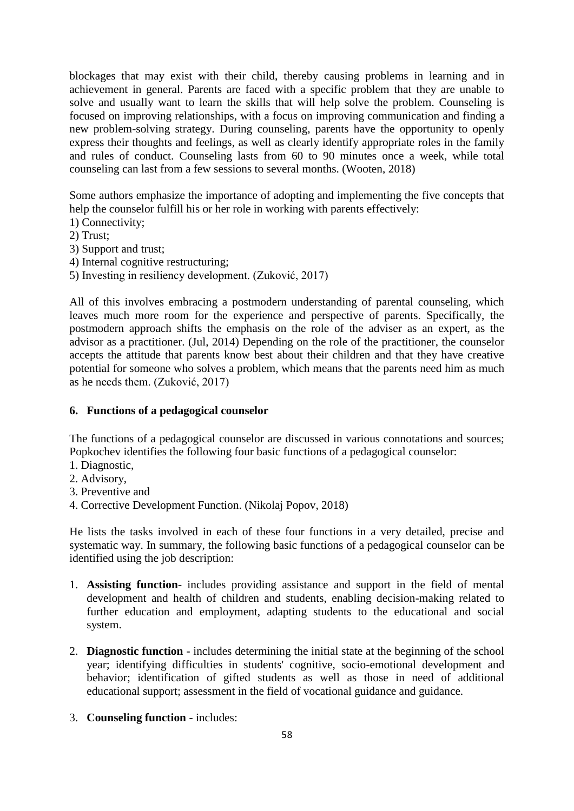blockages that may exist with their child, thereby causing problems in learning and in achievement in general. Parents are faced with a specific problem that they are unable to solve and usually want to learn the skills that will help solve the problem. Counseling is focused on improving relationships, with a focus on improving communication and finding a new problem-solving strategy. During counseling, parents have the opportunity to openly express their thoughts and feelings, as well as clearly identify appropriate roles in the family and rules of conduct. Counseling lasts from 60 to 90 minutes once a week, while total counseling can last from a few sessions to several months. (Wooten, 2018)

Some authors emphasize the importance of adopting and implementing the five concepts that help the counselor fulfill his or her role in working with parents effectively:

1) Connectivity;

2) Trust;

3) Support and trust;

4) Internal cognitive restructuring;

5) Investing in resiliency development. (Zuković, 2017)

All of this involves embracing a postmodern understanding of parental counseling, which leaves much more room for the experience and perspective of parents. Specifically, the postmodern approach shifts the emphasis on the role of the adviser as an expert, as the advisor as a practitioner. (Jul, 2014) Depending on the role of the practitioner, the counselor accepts the attitude that parents know best about their children and that they have creative potential for someone who solves a problem, which means that the parents need him as much as he needs them. (Zuković, 2017)

# **6. Functions of a pedagogical counselor**

The functions of a pedagogical counselor are discussed in various connotations and sources; Popkochev identifies the following four basic functions of a pedagogical counselor:

- 1. Diagnostic,
- 2. Advisory,
- 3. Preventive and
- 4. Corrective Development Function. (Nikolaj Popov, 2018)

He lists the tasks involved in each of these four functions in a very detailed, precise and systematic way. In summary, the following basic functions of a pedagogical counselor can be identified using the job description:

- 1. **Assisting function** includes providing assistance and support in the field of mental development and health of children and students, enabling decision-making related to further education and employment, adapting students to the educational and social system.
- 2. **Diagnostic function** includes determining the initial state at the beginning of the school year; identifying difficulties in students' cognitive, socio-emotional development and behavior; identification of gifted students as well as those in need of additional educational support; assessment in the field of vocational guidance and guidance.
- 3. **Counseling function** includes: